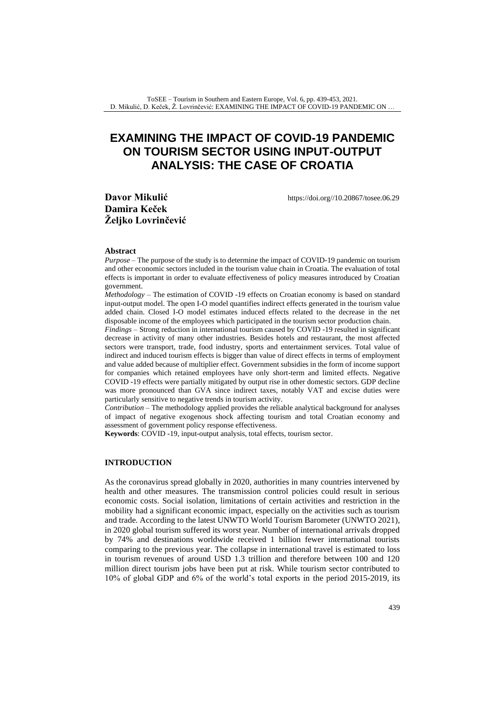# **EXAMINING THE IMPACT OF COVID-19 PANDEMIC ON TOURISM SECTOR USING INPUT-OUTPUT ANALYSIS: THE CASE OF CROATIA**

[https://doi.org//10.20867/tosee.06.29](https://doi.org/10.20867/tosee.06.29)

**Davor Mikulić Damira Keček Željko Lovrinčević**

#### **Abstract**

*Purpose* – The purpose of the study is to determine the impact of COVID-19 pandemic on tourism and other economic sectors included in the tourism value chain in Croatia. The evaluation of total effects is important in order to evaluate effectiveness of policy measures introduced by Croatian government.

*Methodology* – The estimation of COVID -19 effects on Croatian economy is based on standard input-output model. The open I-O model quantifies indirect effects generated in the tourism value added chain. Closed I-O model estimates induced effects related to the decrease in the net disposable income of the employees which participated in the tourism sector production chain.

*Findings* – Strong reduction in international tourism caused by COVID -19 resulted in significant decrease in activity of many other industries. Besides hotels and restaurant, the most affected sectors were transport, trade, food industry, sports and entertainment services. Total value of indirect and induced tourism effects is bigger than value of direct effects in terms of employment and value added because of multiplier effect. Government subsidies in the form of income support for companies which retained employees have only short-term and limited effects. Negative COVID -19 effects were partially mitigated by output rise in other domestic sectors. GDP decline was more pronounced than GVA since indirect taxes, notably VAT and excise duties were particularly sensitive to negative trends in tourism activity.

*Contribution* – The methodology applied provides the reliable analytical background for analyses of impact of negative exogenous shock affecting tourism and total Croatian economy and assessment of government policy response effectiveness.

**Keywords**: COVID -19, input-output analysis, total effects, tourism sector.

#### **INTRODUCTION**

As the coronavirus spread globally in 2020, authorities in many countries intervened by health and other measures. The transmission control policies could result in serious economic costs. Social isolation, limitations of certain activities and restriction in the mobility had a significant economic impact, especially on the activities such as tourism and trade. According to the latest UNWTO World Tourism Barometer (UNWTO 2021), in 2020 global tourism suffered its worst year. Number of international arrivals dropped by 74% and destinations worldwide received 1 billion fewer international tourists comparing to the previous year. The collapse in international travel is estimated to loss in tourism revenues of around USD 1.3 trillion and therefore between 100 and 120 million direct tourism jobs have been put at risk. While tourism sector contributed to 10% of global GDP and 6% of the world's total exports in the period 2015-2019, its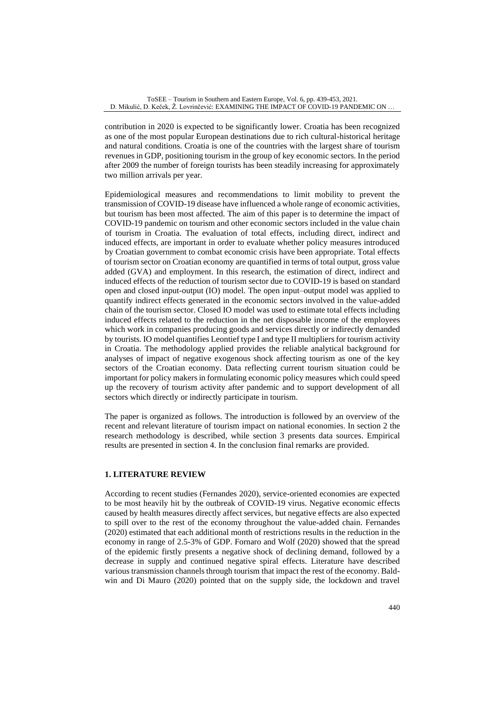contribution in 2020 is expected to be significantly lower. Croatia has been recognized as one of the most popular European destinations due to rich cultural-historical heritage and natural conditions. Croatia is one of the countries with the largest share of tourism revenues in GDP, positioning tourism in the group of key economic sectors. In the period after 2009 the number of foreign tourists has been steadily increasing for approximately two million arrivals per year.

Epidemiological measures and recommendations to limit mobility to prevent the transmission of COVID-19 disease have influenced a whole range of economic activities, but tourism has been most affected. The aim of this paper is to determine the impact of COVID-19 pandemic on tourism and other economic sectors included in the value chain of tourism in Croatia. The evaluation of total effects, including direct, indirect and induced effects, are important in order to evaluate whether policy measures introduced by Croatian government to combat economic crisis have been appropriate. Total effects of tourism sector on Croatian economy are quantified in terms of total output, gross value added (GVA) and employment. In this research, the estimation of direct, indirect and induced effects of the reduction of tourism sector due to COVID-19 is based on standard open and closed input-output (IO) model. The open input–output model was applied to quantify indirect effects generated in the economic sectors involved in the value-added chain of the tourism sector. Closed IO model was used to estimate total effects including induced effects related to the reduction in the net disposable income of the employees which work in companies producing goods and services directly or indirectly demanded by tourists. IO model quantifies Leontief type I and type II multipliers for tourism activity in Croatia. The methodology applied provides the reliable analytical background for analyses of impact of negative exogenous shock affecting tourism as one of the key sectors of the Croatian economy. Data reflecting current tourism situation could be important for policy makers in formulating economic policy measures which could speed up the recovery of tourism activity after pandemic and to support development of all sectors which directly or indirectly participate in tourism.

The paper is organized as follows. The introduction is followed by an overview of the recent and relevant literature of tourism impact on national economies. In section [2](http://www.mdpi.com/1996-1073/11/7/1881/htm#sec3-energies-11-01881) the research methodology is described, while section 3 presents data sources. Empirical results are presented in [section](http://www.mdpi.com/1996-1073/11/7/1881/htm#sec4-energies-11-01881) 4. In the conclusion final remarks are provided.

## **1. LITERATURE REVIEW**

According to recent studies (Fernandes 2020), service-oriented economies are expected to be most heavily hit by the outbreak of COVID-19 virus. Negative economic effects caused by health measures directly affect services, but negative effects are also expected to spill over to the rest of the economy throughout the value-added chain. Fernandes (2020) estimated that each additional month of restrictions results in the reduction in the economy in range of 2.5-3% of GDP. Fornaro and Wolf (2020) showed that the spread of the epidemic firstly presents a negative shock of declining demand, followed by a decrease in supply and continued negative spiral effects. Literature have described various transmission channels through tourism that impact the rest of the economy. Baldwin and Di Mauro (2020) pointed that on the supply side, the lockdown and travel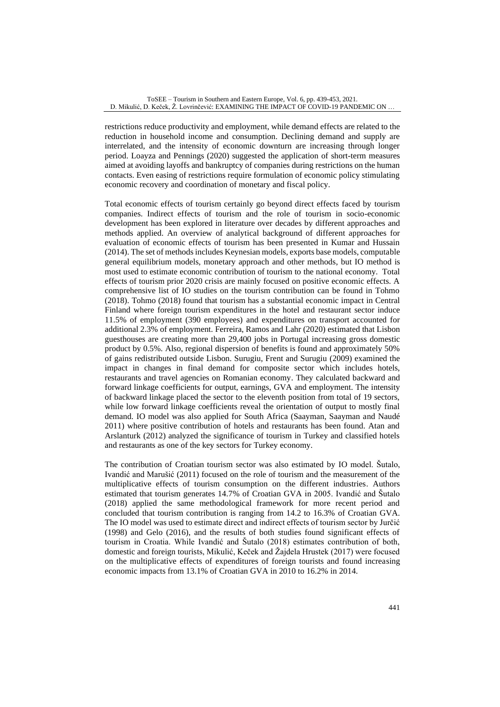restrictions reduce productivity and employment, while demand effects are related to the reduction in household income and consumption. Declining demand and supply are interrelated, and the intensity of economic downturn are increasing through longer period. Loayza and Pennings (2020) suggested the application of short-term measures aimed at avoiding layoffs and bankruptcy of companies during restrictions on the human contacts. Even easing of restrictions require formulation of economic policy stimulating economic recovery and coordination of monetary and fiscal policy.

Total economic effects of tourism certainly go beyond direct effects faced by tourism companies. Indirect effects of tourism and the role of tourism in socio-economic development has been explored in literature over decades by different approaches and methods applied. An overview of analytical background of different approaches for evaluation of economic effects of tourism has been presented in Kumar and Hussain (2014). The set of methods includes Keynesian models, exports base models, computable general equilibrium models, monetary approach and other methods, but IO method is most used to estimate economic contribution of tourism to the national economy. Total effects of tourism prior 2020 crisis are mainly focused on positive economic effects. A comprehensive list of IO studies on the tourism contribution can be found in Tohmo (2018). Tohmo (2018) found that tourism has a substantial economic impact in Central Finland where foreign tourism expenditures in the hotel and restaurant sector induce 11.5% of employment (390 employees) and expenditures on transport accounted for additional 2.3% of employment. Ferreira, Ramos and Lahr (2020) estimated that Lisbon guesthouses are creating more than 29,400 jobs in Portugal increasing gross domestic product by 0.5%. Also, regional dispersion of benefits is found and approximately 50% of gains redistributed outside Lisbon. Surugiu, Frent and Surugiu (2009) examined the impact in changes in final demand for composite sector which includes hotels, restaurants and travel agencies on Romanian economy. They calculated backward and forward linkage coefficients for output, earnings, GVA and employment. The intensity of backward linkage placed the sector to the eleventh position from total of 19 sectors, while low forward linkage coefficients reveal the orientation of output to mostly final demand. IO model was also applied for South Africa (Saayman, Saayman and Naudé 2011) where positive contribution of hotels and restaurants has been found. Atan and Arslanturk (2012) analyzed the significance of tourism in Turkey and classified hotels and restaurants as one of the key sectors for Turkey economy.

The contribution of Croatian tourism sector was also estimated by IO model. Šutalo, Ivandić and Marušić (2011) focused on the role of tourism and the measurement of the multiplicative effects of tourism consumption on the different industries. Authors estimated that tourism generates 14.7% of Croatian GVA in 2005. Ivandić and Šutalo (2018) applied the same methodological framework for more recent period and concluded that tourism contribution is ranging from 14.2 to 16.3% of Croatian GVA. The IO model was used to estimate direct and indirect effects of tourism sector by Jurčić (1998) and Gelo (2016), and the results of both studies found significant effects of tourism in Croatia. While Ivandić and Šutalo (2018) estimates contribution of both, domestic and foreign tourists, Mikulić, Keček and Žajdela Hrustek (2017) were focused on the multiplicative effects of expenditures of foreign tourists and found increasing economic impacts from 13.1% of Croatian GVA in 2010 to 16.2% in 2014.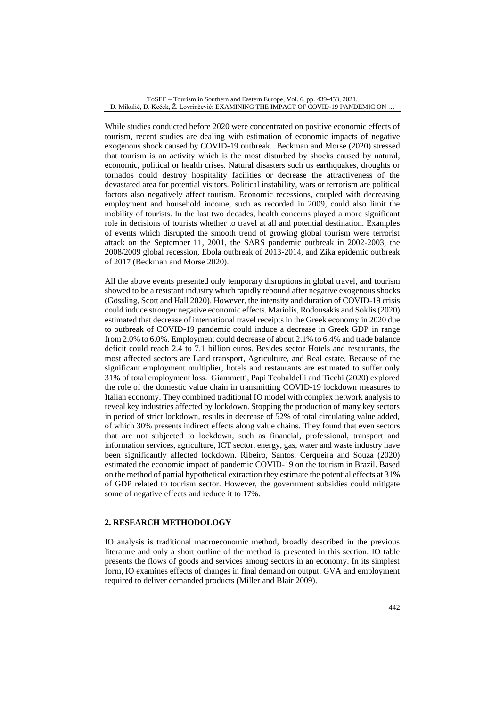While studies conducted before 2020 were concentrated on positive economic effects of tourism, recent studies are dealing with estimation of economic impacts of negative exogenous shock caused by COVID-19 outbreak. Beckman and Morse (2020) stressed that tourism is an activity which is the most disturbed by shocks caused by natural, economic, political or health crises. Natural disasters such us earthquakes, droughts or tornados could destroy hospitality facilities or decrease the attractiveness of the devastated area for potential visitors. Political instability, wars or terrorism are political factors also negatively affect tourism. Economic recessions, coupled with decreasing employment and household income, such as recorded in 2009, could also limit the mobility of tourists. In the last two decades, health concerns played a more significant role in decisions of tourists whether to travel at all and potential destination. Examples of events which disrupted the smooth trend of growing global tourism were terrorist attack on the September 11, 2001, the SARS pandemic outbreak in 2002-2003, the 2008/2009 global recession, Ebola outbreak of 2013-2014, and Zika epidemic outbreak of 2017 (Beckman and Morse 2020).

All the above events presented only temporary disruptions in global travel, and tourism showed to be a resistant industry which rapidly rebound after negative exogenous shocks (Gössling, Scott and Hall 2020). However, the intensity and duration of COVID-19 crisis could induce stronger negative economic effects. Mariolis, Rodousakis and Soklis (2020) estimated that decrease of international travel receipts in the Greek economy in 2020 due to outbreak of COVID-19 pandemic could induce a decrease in Greek GDP in range from 2.0% to 6.0%. Employment could decrease of about 2.1% to 6.4% and trade balance deficit could reach 2.4 to 7.1 billion euros. Besides sector Hotels and restaurants, the most affected sectors are Land transport, Agriculture, and Real estate. Because of the significant employment multiplier, hotels and restaurants are estimated to suffer only 31% of total employment loss. Giammetti, Papi Teobaldelli and Ticchi (2020) explored the role of the domestic value chain in transmitting COVID-19 lockdown measures to Italian economy. They combined traditional IO model with complex network analysis to reveal key industries affected by lockdown. Stopping the production of many key sectors in period of strict lockdown, results in decrease of 52% of total circulating value added, of which 30% presents indirect effects along value chains. They found that even sectors that are not subjected to lockdown, such as financial, professional, transport and information services, agriculture, ICT sector, energy, gas, water and waste industry have been significantly affected lockdown. Ribeiro, Santos, Cerqueira and Souza (2020) estimated the economic impact of pandemic COVID-19 on the tourism in Brazil. Based on the method of partial hypothetical extraction they estimate the potential effects at 31% of GDP related to tourism sector. However, the government subsidies could mitigate some of negative effects and reduce it to 17%.

## **2. RESEARCH METHODOLOGY**

IO analysis is traditional macroeconomic method, broadly described in the previous literature and only a short outline of the method is presented in this section. IO table presents the flows of goods and services among sectors in an economy. In its simplest form, IO examines effects of changes in final demand on output, GVA and employment required to deliver demanded products (Miller and Blair 2009).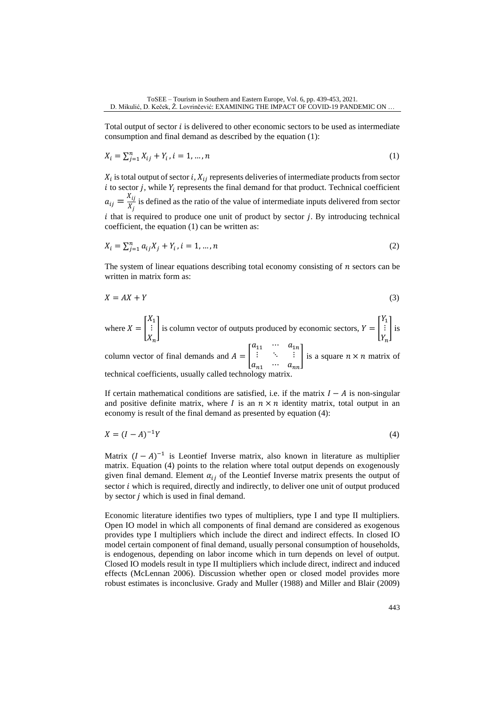Total output of sector  $i$  is delivered to other economic sectors to be used as intermediate consumption and final demand as described by the equation (1):

$$
X_i = \sum_{j=1}^n X_{ij} + Y_i, i = 1, ..., n
$$
 (1)

 $X_i$  is total output of sector i,  $X_{ij}$  represents deliveries of intermediate products from sector i to sector j, while  $Y_i$  represents the final demand for that product. Technical coefficient  $a_{ij}=\frac{X_{ij}}{Y}$  $\frac{f_{ij}}{X_j}$  is defined as the ratio of the value of intermediate inputs delivered from sector  $i$  that is required to produce one unit of product by sector  $j$ . By introducing technical coefficient, the equation (1) can be written as:

$$
X_i = \sum_{j=1}^n a_{ij} X_j + Y_i, i = 1, ..., n
$$
 (2)

The system of linear equations describing total economy consisting of  $n$  sectors can be written in matrix form as:

$$
X = AX + Y \tag{3}
$$

where  $X = |$  $X_1$ ⋮  $X_n$ | is column vector of outputs produced by economic sectors,  $Y = |$  $Y_1$ ⋮  $Y_n$ ] is

column vector of final demands and  $A = |$  $a_{11} \quad \cdots \quad a_{1n}$  $\mathbf{i}$  $a_{n1} \cdots a_{nn}$ | is a square  $n \times n$  matrix of technical coefficients, usually called technology matrix.

If certain mathematical conditions are satisfied, i.e. if the matrix  $I - A$  is non-singular and positive definite matrix, where I is an  $n \times n$  identity matrix, total output in an economy is result of the final demand as presented by equation (4):

$$
X = (I - A)^{-1}Y\tag{4}
$$

Matrix  $(I - A)^{-1}$  is Leontief Inverse matrix, also known in literature as multiplier matrix. Equation (4) points to the relation where total output depends on exogenously given final demand. Element  $\alpha_{ij}$  of the Leontief Inverse matrix presents the output of sector *i* which is required, directly and indirectly, to deliver one unit of output produced by sector  *which is used in final demand.* 

Economic literature identifies two types of multipliers, type I and type II multipliers. Open IO model in which all components of final demand are considered as exogenous provides type I multipliers which include the direct and indirect effects. In closed IO model certain component of final demand, usually personal consumption of households, is endogenous, depending on labor income which in turn depends on level of output. Closed IO models result in type II multipliers which include direct, indirect and induced effects (McLennan 2006). Discussion whether open or closed model provides more robust estimates is inconclusive. Grady and Muller (1988) and Miller and Blair (2009)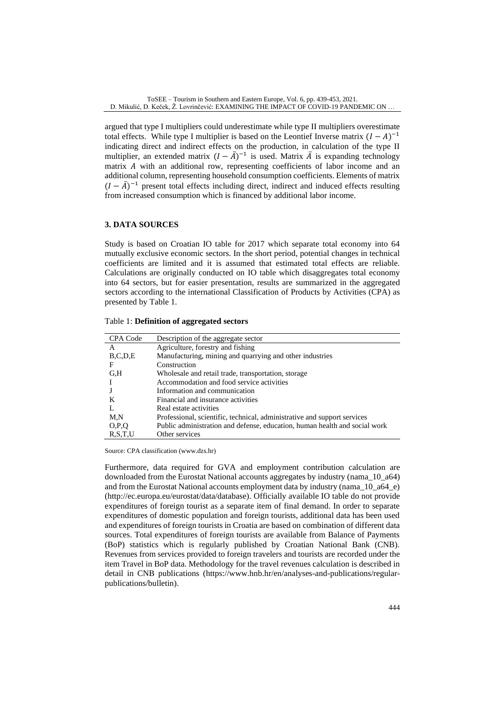argued that type I multipliers could underestimate while type II multipliers overestimate total effects. While type I multiplier is based on the Leontief Inverse matrix  $(I - A)^{-1}$ indicating direct and indirect effects on the production, in calculation of the type II multiplier, an extended matrix  $(I - \overline{A})^{-1}$  is used. Matrix  $\overline{A}$  is expanding technology matrix  $A$  with an additional row, representing coefficients of labor income and an additional column, representing household consumption coefficients. Elements of matrix  $(I - \bar{A})^{-1}$  present total effects including direct, indirect and induced effects resulting from increased consumption which is financed by additional labor income.

## **3. DATA SOURCES**

Study is based on Croatian IO table for 2017 which separate total economy into 64 mutually exclusive economic sectors. In the short period, potential changes in technical coefficients are limited and it is assumed that estimated total effects are reliable. Calculations are originally conducted on IO table which disaggregates total economy into 64 sectors, but for easier presentation, results are summarized in the aggregated sectors according to the international Classification of Products by Activities (CPA) as presented by Table 1.

| CPA Code   | Description of the aggregate sector                                        |
|------------|----------------------------------------------------------------------------|
| A          | Agriculture, forestry and fishing                                          |
| B, C, D, E | Manufacturing, mining and quarrying and other industries                   |
| F          | Construction                                                               |
| G.H        | Wholesale and retail trade, transportation, storage                        |
|            | Accommodation and food service activities                                  |
|            | Information and communication                                              |
| K          | Financial and insurance activities                                         |
|            | Real estate activities                                                     |
| M,N        | Professional, scientific, technical, administrative and support services   |
| O.P.Q      | Public administration and defense, education, human health and social work |
| R.S.T.U    | Other services                                                             |

Table 1: **Definition of aggregated sectors**

Source: CPA classification [\(www.dzs.hr\)](http://www.dzs.hr/)

Furthermore, data required for GVA and employment contribution calculation are downloaded from the Eurostat National accounts aggregates by industry (nama\_10\_a64) and from the Eurostat National accounts employment data by industry (nama\_10\_a64\_e) (http://ec.europa.eu/eurostat/data/database). Officially available IO table do not provide expenditures of foreign tourist as a separate item of final demand. In order to separate expenditures of domestic population and foreign tourists, additional data has been used and expenditures of foreign tourists in Croatia are based on combination of different data sources. Total expenditures of foreign tourists are available from Balance of Payments (BoP) statistics which is regularly published by Croatian National Bank (CNB). Revenues from services provided to foreign travelers and tourists are recorded under the item Travel in BoP data. Methodology for the travel revenues calculation is described in detail in CNB publications [\(https://www.hnb.hr/en/analyses-and-publications/regular](https://www.hnb.hr/en/analyses-and-publications/regular-publications/bulletin)[publications/bulletin\)](https://www.hnb.hr/en/analyses-and-publications/regular-publications/bulletin).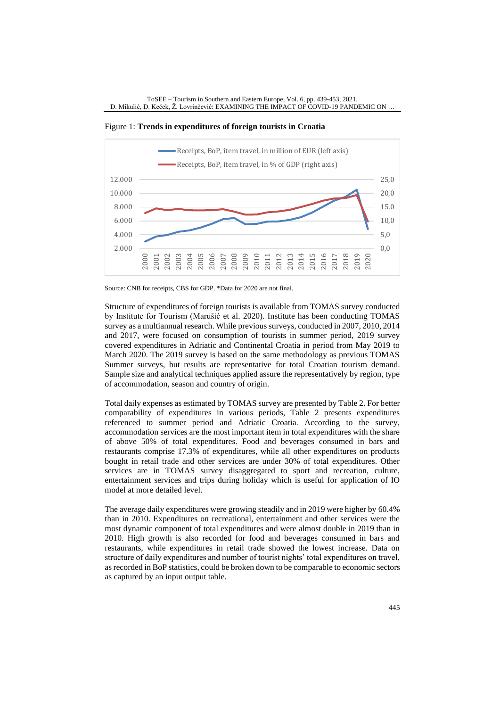Figure 1: **Trends in expenditures of foreign tourists in Croatia**



Source: CNB for receipts, CBS for GDP. \*Data for 2020 are not final.

Structure of expenditures of foreign tourists is available from TOMAS survey conducted by Institute for Tourism (Marušić et al. 2020). Institute has been conducting TOMAS survey as a multiannual research. While previous surveys, conducted in 2007, 2010, 2014 and 2017, were focused on consumption of tourists in summer period, 2019 survey covered expenditures in Adriatic and Continental Croatia in period from May 2019 to March 2020. The 2019 survey is based on the same methodology as previous TOMAS Summer surveys, but results are representative for total Croatian tourism demand. Sample size and analytical techniques applied assure the representatively by region, type of accommodation, season and country of origin.

Total daily expenses as estimated by TOMAS survey are presented by Table 2. For better comparability of expenditures in various periods, Table 2 presents expenditures referenced to summer period and Adriatic Croatia. According to the survey, accommodation services are the most important item in total expenditures with the share of above 50% of total expenditures. Food and beverages consumed in bars and restaurants comprise 17.3% of expenditures, while all other expenditures on products bought in retail trade and other services are under 30% of total expenditures. Other services are in TOMAS survey disaggregated to sport and recreation, culture, entertainment services and trips during holiday which is useful for application of IO model at more detailed level.

The average daily expenditures were growing steadily and in 2019 were higher by 60.4% than in 2010. Expenditures on recreational, entertainment and other services were the most dynamic component of total expenditures and were almost double in 2019 than in 2010. High growth is also recorded for food and beverages consumed in bars and restaurants, while expenditures in retail trade showed the lowest increase. Data on structure of daily expenditures and number of tourist nights' total expenditures on travel, as recorded in BoP statistics, could be broken down to be comparable to economic sectors as captured by an input output table.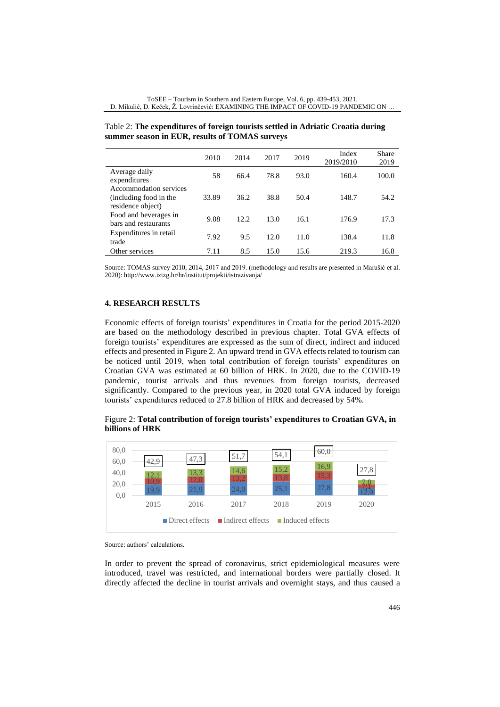|                                                                       | 2010  | 2014 | 2017 | 2019 | Index<br>2019/2010 | Share<br>2019 |
|-----------------------------------------------------------------------|-------|------|------|------|--------------------|---------------|
| Average daily<br>expenditures                                         | 58    | 66.4 | 78.8 | 93.0 | 160.4              | 100.0         |
| Accommodation services<br>(including food in the<br>residence object) | 33.89 | 36.2 | 38.8 | 50.4 | 148.7              | 54.2          |
| Food and beverages in<br>bars and restaurants                         | 9.08  | 12.2 | 13.0 | 16.1 | 176.9              | 17.3          |
| Expenditures in retail<br>trade                                       | 7.92  | 9.5  | 12.0 | 11.0 | 138.4              | 11.8          |
| Other services                                                        | 7.11  | 8.5  | 15.0 | 15.6 | 219.3              | 16.8          |

Table 2: **The expenditures of foreign tourists settled in Adriatic Croatia during summer season in EUR, results of TOMAS surveys**

Source: TOMAS survey 2010, 2014, 2017 and 2019. (methodology and results are presented in Marušić et al. 2020)[: http://www.iztzg.hr/hr/institut/projekti/istrazivanja/](http://www.iztzg.hr/hr/institut/projekti/istrazivanja/)

# **4. RESEARCH RESULTS**

Economic effects of foreign tourists' expenditures in Croatia for the period 2015-2020 are based on the methodology described in previous chapter. Total GVA effects of foreign tourists' expenditures are expressed as the sum of direct, indirect and induced effects and presented in Figure 2. An upward trend in GVA effects related to tourism can be noticed until 2019, when total contribution of foreign tourists' expenditures on Croatian GVA was estimated at 60 billion of HRK. In 2020, due to the COVID-19 pandemic, tourist arrivals and thus revenues from foreign tourists, decreased significantly. Compared to the previous year, in 2020 total GVA induced by foreign tourists' expenditures reduced to 27.8 billion of HRK and decreased by 54%.

Figure 2: **Total contribution of foreign tourists' expenditures to Croatian GVA, in billions of HRK** 



Source: authors' calculations.

In order to prevent the spread of coronavirus, strict epidemiological measures were introduced, travel was restricted, and international borders were partially closed. It directly affected the decline in tourist arrivals and overnight stays, and thus caused a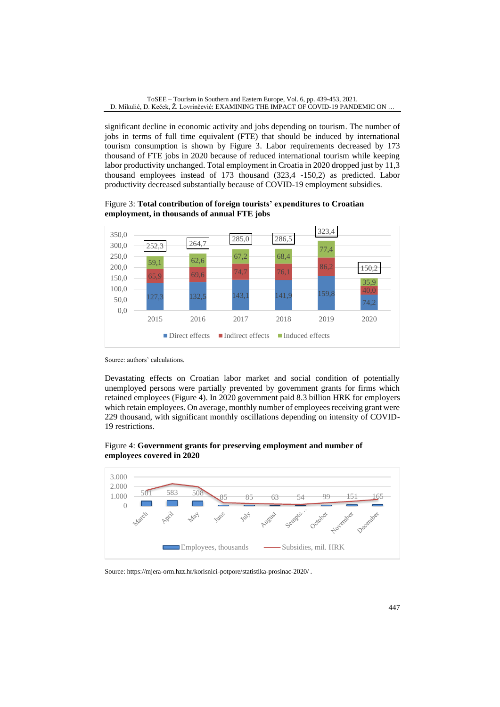significant decline in economic activity and jobs depending on tourism. The number of jobs in terms of full time equivalent (FTE) that should be induced by international tourism consumption is shown by Figure 3. Labor requirements decreased by 173 thousand of FTE jobs in 2020 because of reduced international tourism while keeping labor productivity unchanged. Total employment in Croatia in 2020 dropped just by 11,3 thousand employees instead of 173 thousand (323,4 -150,2) as predicted. Labor productivity decreased substantially because of COVID-19 employment subsidies.

Figure 3: **Total contribution of foreign tourists' expenditures to Croatian employment, in thousands of annual FTE jobs**



Source: authors' calculations.

Devastating effects on Croatian labor market and social condition of potentially unemployed persons were partially prevented by government grants for firms which retained employees (Figure 4). In 2020 government paid 8.3 billion HRK for employers which retain employees. On average, monthly number of employees receiving grant were 229 thousand, with significant monthly oscillations depending on intensity of COVID-19 restrictions.

# Figure 4: **Government grants for preserving employment and number of employees covered in 2020**



Source: <https://mjera-orm.hzz.hr/korisnici-potpore/statistika-prosinac-2020/> .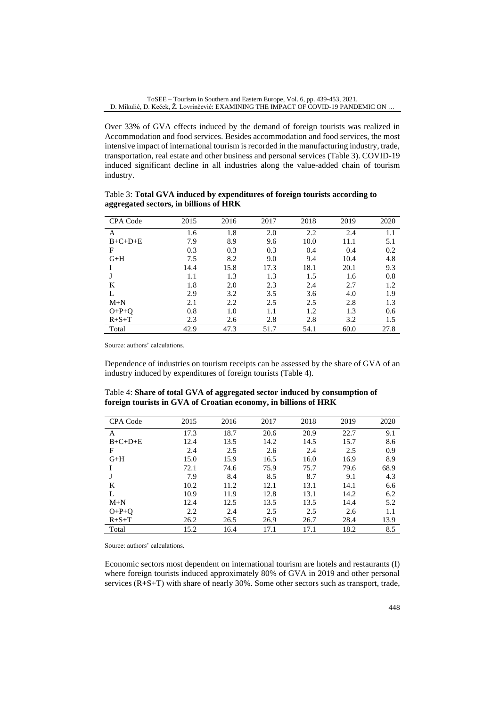Over 33% of GVA effects induced by the demand of foreign tourists was realized in Accommodation and food services. Besides accommodation and food services, the most intensive impact of international tourism is recorded in the manufacturing industry, trade, transportation, real estate and other business and personal services (Table 3). COVID-19 induced significant decline in all industries along the value-added chain of tourism industry.

CPA Code 2015 2016 2017 2018 2019 2020 A 1.6 1.8 2.0 2.2 2.4 1.1 B+C+D+E 7.9 8.9 9.6 10.0 11.1 5.1 F 0.3 0.3 0.3 0.4 0.4 0.2 G+H 7.5 8.2 9.0 9.4 10.4 4.8 I 14.4 15.8 17.3 18.1 20.1 9.3 J 1.1 1.3 1.3 1.5 1.6 0.8 K 1.8 2.0 2.3 2.4 2.7 1.2 L 2.9 3.2 3.5 3.6 4.0 1.9 M+N 2.1 2.2 2.5 2.5 2.8 1.3 O+P+Q 0.8 1.0 1.1 1.2 1.3 0.6 R+S+T 2.3 2.6 2.8 2.8 3.2 1.5 Total 42.9 47.3 51.7 54.1 60.0 27.8

Table 3: **Total GVA induced by expenditures of foreign tourists according to aggregated sectors, in billions of HRK**

Source: authors' calculations.

Dependence of industries on tourism receipts can be assessed by the share of GVA of an industry induced by expenditures of foreign tourists (Table 4).

| Table 4: Share of total GVA of aggregated sector induced by consumption of |  |
|----------------------------------------------------------------------------|--|
| foreign tourists in GVA of Croatian economy, in billions of HRK            |  |

| <b>CPA Code</b> | 2015 | 2016 | 2017 | 2018 | 2019 | 2020 |
|-----------------|------|------|------|------|------|------|
| A               | 17.3 | 18.7 | 20.6 | 20.9 | 22.7 | 9.1  |
| $B+C+D+E$       | 12.4 | 13.5 | 14.2 | 14.5 | 15.7 | 8.6  |
| F               | 2.4  | 2.5  | 2.6  | 2.4  | 2.5  | 0.9  |
| $G+H$           | 15.0 | 15.9 | 16.5 | 16.0 | 16.9 | 8.9  |
|                 | 72.1 | 74.6 | 75.9 | 75.7 | 79.6 | 68.9 |
| J               | 7.9  | 8.4  | 8.5  | 8.7  | 9.1  | 4.3  |
| K               | 10.2 | 11.2 | 12.1 | 13.1 | 14.1 | 6.6  |
| L               | 10.9 | 11.9 | 12.8 | 13.1 | 14.2 | 6.2  |
| $M+N$           | 12.4 | 12.5 | 13.5 | 13.5 | 14.4 | 5.2  |
| $O+P+O$         | 2.2  | 2.4  | 2.5  | 2.5  | 2.6  | 1.1  |
| $R + S + T$     | 26.2 | 26.5 | 26.9 | 26.7 | 28.4 | 13.9 |
| Total           | 15.2 | 16.4 | 17.1 | 17.1 | 18.2 | 8.5  |

Source: authors' calculations.

Economic sectors most dependent on international tourism are hotels and restaurants (I) where foreign tourists induced approximately 80% of GVA in 2019 and other personal services (R+S+T) with share of nearly 30%. Some other sectors such as transport, trade,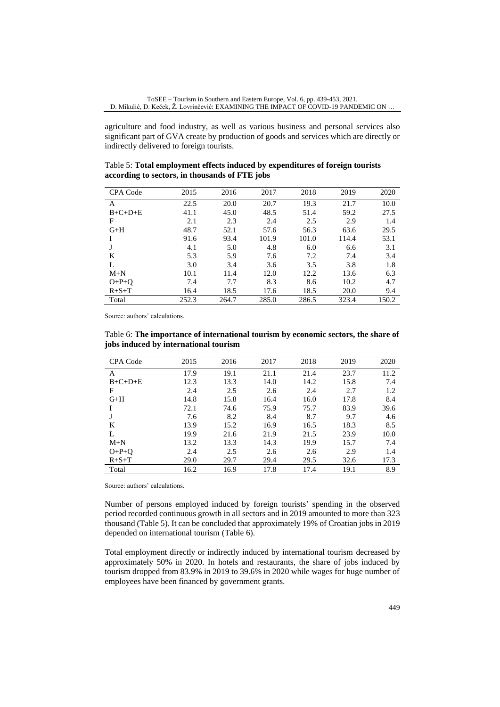agriculture and food industry, as well as various business and personal services also significant part of GVA create by production of goods and services which are directly or indirectly delivered to foreign tourists.

Table 5: **Total employment effects induced by expenditures of foreign tourists according to sectors, in thousands of FTE jobs**

| <b>CPA Code</b> | 2015  | 2016  | 2017  | 2018  | 2019  | 2020  |
|-----------------|-------|-------|-------|-------|-------|-------|
| A               | 22.5  | 20.0  | 20.7  | 19.3  | 21.7  | 10.0  |
| $B+C+D+E$       | 41.1  | 45.0  | 48.5  | 51.4  | 59.2  | 27.5  |
| F               | 2.1   | 2.3   | 2.4   | 2.5   | 2.9   | 1.4   |
| $G+H$           | 48.7  | 52.1  | 57.6  | 56.3  | 63.6  | 29.5  |
|                 | 91.6  | 93.4  | 101.9 | 101.0 | 114.4 | 53.1  |
|                 | 4.1   | 5.0   | 4.8   | 6.0   | 6.6   | 3.1   |
| K               | 5.3   | 5.9   | 7.6   | 7.2   | 7.4   | 3.4   |
| L               | 3.0   | 3.4   | 3.6   | 3.5   | 3.8   | 1.8   |
| $M+N$           | 10.1  | 11.4  | 12.0  | 12.2  | 13.6  | 6.3   |
| $O+P+O$         | 7.4   | 7.7   | 8.3   | 8.6   | 10.2  | 4.7   |
| $R + S + T$     | 16.4  | 18.5  | 17.6  | 18.5  | 20.0  | 9.4   |
| Total           | 252.3 | 264.7 | 285.0 | 286.5 | 323.4 | 150.2 |

Source: authors' calculations.

Table 6: **The importance of international tourism by economic sectors, the share of jobs induced by international tourism**

| CPA Code    | 2015 | 2016 | 2017 | 2018 | 2019 | 2020 |
|-------------|------|------|------|------|------|------|
| А           | 17.9 | 19.1 | 21.1 | 21.4 | 23.7 | 11.2 |
| $B+C+D+E$   | 12.3 | 13.3 | 14.0 | 14.2 | 15.8 | 7.4  |
| F           | 2.4  | 2.5  | 2.6  | 2.4  | 2.7  | 1.2  |
| $G+H$       | 14.8 | 15.8 | 16.4 | 16.0 | 17.8 | 8.4  |
|             | 72.1 | 74.6 | 75.9 | 75.7 | 83.9 | 39.6 |
| J           | 7.6  | 8.2  | 8.4  | 8.7  | 9.7  | 4.6  |
| K           | 13.9 | 15.2 | 16.9 | 16.5 | 18.3 | 8.5  |
| L           | 19.9 | 21.6 | 21.9 | 21.5 | 23.9 | 10.0 |
| $M+N$       | 13.2 | 13.3 | 14.3 | 19.9 | 15.7 | 7.4  |
| $O+P+O$     | 2.4  | 2.5  | 2.6  | 2.6  | 2.9  | 1.4  |
| $R + S + T$ | 29.0 | 29.7 | 29.4 | 29.5 | 32.6 | 17.3 |
| Total       | 16.2 | 16.9 | 17.8 | 17.4 | 19.1 | 8.9  |

Source: authors' calculations.

Number of persons employed induced by foreign tourists' spending in the observed period recorded continuous growth in all sectors and in 2019 amounted to more than 323 thousand (Table 5). It can be concluded that approximately 19% of Croatian jobs in 2019 depended on international tourism (Table 6).

Total employment directly or indirectly induced by international tourism decreased by approximately 50% in 2020. In hotels and restaurants, the share of jobs induced by tourism dropped from 83.9% in 2019 to 39.6% in 2020 while wages for huge number of employees have been financed by government grants.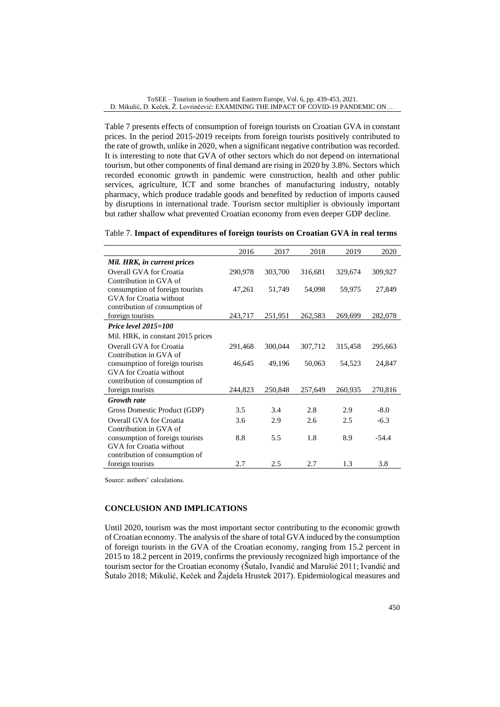Table 7 presents effects of consumption of foreign tourists on Croatian GVA in constant prices. In the period 2015-2019 receipts from foreign tourists positively contributed to the rate of growth, unlike in 2020, when a significant negative contribution was recorded. It is interesting to note that GVA of other sectors which do not depend on international tourism, but other components of final demand are rising in 2020 by 3.8%. Sectors which recorded economic growth in pandemic were construction, health and other public services, agriculture, ICT and some branches of manufacturing industry, notably pharmacy, which produce tradable goods and benefited by reduction of imports caused by disruptions in international trade. Tourism sector multiplier is obviously important but rather shallow what prevented Croatian economy from even deeper GDP decline.

| Table 7. Impact of expenditures of foreign tourists on Croatian GVA in real terms |
|-----------------------------------------------------------------------------------|
|-----------------------------------------------------------------------------------|

|                                   | 2016    | 2017    | 2018    | 2019    | 2020    |
|-----------------------------------|---------|---------|---------|---------|---------|
| Mil. HRK, in current prices       |         |         |         |         |         |
| Overall GVA for Croatia           | 290,978 | 303,700 | 316,681 | 329,674 | 309,927 |
| Contribution in GVA of            |         |         |         |         |         |
| consumption of foreign tourists   | 47,261  | 51,749  | 54,098  | 59,975  | 27,849  |
| <b>GVA</b> for Croatia without    |         |         |         |         |         |
| contribution of consumption of    |         |         |         |         |         |
| foreign tourists                  | 243,717 | 251,951 | 262,583 | 269,699 | 282,078 |
| Price level $2015 = 100$          |         |         |         |         |         |
| Mil. HRK, in constant 2015 prices |         |         |         |         |         |
| Overall GVA for Croatia           | 291,468 | 300,044 | 307,712 | 315,458 | 295,663 |
| Contribution in GVA of            |         |         |         |         |         |
| consumption of foreign tourists   | 46,645  | 49,196  | 50,063  | 54,523  | 24,847  |
| <b>GVA</b> for Croatia without    |         |         |         |         |         |
| contribution of consumption of    |         |         |         |         |         |
| foreign tourists                  | 244,823 | 250,848 | 257,649 | 260,935 | 270,816 |
| <b>Growth</b> rate                |         |         |         |         |         |
| Gross Domestic Product (GDP)      | 3.5     | 3.4     | 2.8     | 2.9     | $-8.0$  |
| Overall GVA for Croatia           | 3.6     | 2.9     | 2.6     | 2.5     | $-6.3$  |
| Contribution in GVA of            |         |         |         |         |         |
| consumption of foreign tourists   | 8.8     | 5.5     | 1.8     | 8.9     | $-54.4$ |
| GVA for Croatia without           |         |         |         |         |         |
| contribution of consumption of    |         |         |         |         |         |
| foreign tourists                  | 2.7     | 2.5     | 2.7     | 1.3     | 3.8     |

Source: authors' calculations.

#### **CONCLUSION AND IMPLICATIONS**

Until 2020, tourism was the most important sector contributing to the economic growth of Croatian economy. The analysis of the share of total GVA induced by the consumption of foreign tourists in the GVA of the Croatian economy, ranging from 15.2 percent in 2015 to 18.2 percent in 2019, confirms the previously recognized high importance of the tourism sector for the Croatian economy (Šutalo, Ivandić and Marušić 2011; Ivandić and Šutalo 2018; Mikulić, Keček and Žajdela Hrustek 2017). Epidemiological measures and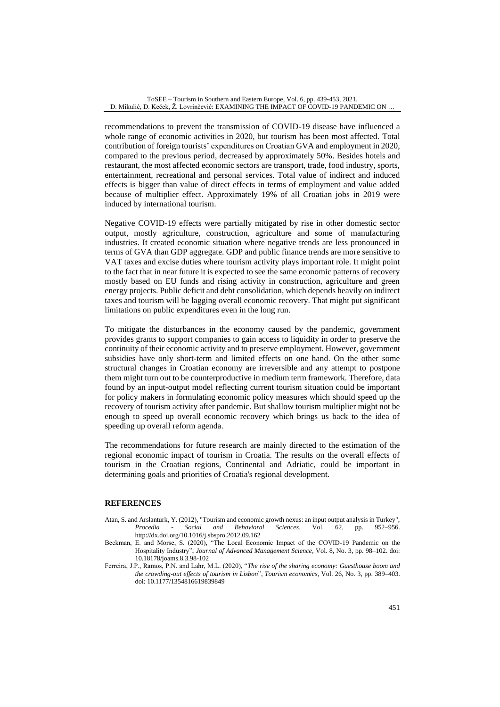recommendations to prevent the transmission of COVID-19 disease have influenced a whole range of economic activities in 2020, but tourism has been most affected. Total contribution of foreign tourists' expenditures on Croatian GVA and employment in 2020, compared to the previous period, decreased by approximately 50%. Besides hotels and restaurant, the most affected economic sectors are transport, trade, food industry, sports, entertainment, recreational and personal services. Total value of indirect and induced effects is bigger than value of direct effects in terms of employment and value added because of multiplier effect. Approximately 19% of all Croatian jobs in 2019 were induced by international tourism.

Negative COVID-19 effects were partially mitigated by rise in other domestic sector output, mostly agriculture, construction, agriculture and some of manufacturing industries. It created economic situation where negative trends are less pronounced in terms of GVA than GDP aggregate. GDP and public finance trends are more sensitive to VAT taxes and excise duties where tourism activity plays important role. It might point to the fact that in near future it is expected to see the same economic patterns of recovery mostly based on EU funds and rising activity in construction, agriculture and green energy projects. Public deficit and debt consolidation, which depends heavily on indirect taxes and tourism will be lagging overall economic recovery. That might put significant limitations on public expenditures even in the long run.

To mitigate the disturbances in the economy caused by the pandemic, government provides grants to support companies to gain access to liquidity in order to preserve the continuity of their economic activity and to preserve employment. However, government subsidies have only short-term and limited effects on one hand. On the other some structural changes in Croatian economy are irreversible and any attempt to postpone them might turn out to be counterproductive in medium term framework. Therefore, data found by an input-output model reflecting current tourism situation could be important for policy makers in formulating economic policy measures which should speed up the recovery of tourism activity after pandemic. But shallow tourism multiplier might not be enough to speed up overall economic recovery which brings us back to the idea of speeding up overall reform agenda.

The recommendations for future research are mainly directed to the estimation of the regional economic impact of tourism in Croatia. The results on the overall effects of tourism in the Croatian regions, Continental and Adriatic, could be important in determining goals and priorities of Croatia's regional development.

### **REFERENCES**

- Atan, S. and Arslanturk, Y. (2012), "Tourism and economic growth nexus: an input output analysis in Turkey",<br> *Procedia Social and Behavioral Sciences*, Vol. 62, pp. 952–956. *Procedia - Social and Behavioral Sciences,* Vol. 62, pp. 952–956. <http://dx.doi.org/10.1016/j.sbspro.2012.09.162>
- Beckman, E. and Morse, S. (2020), "The Local Economic Impact of the COVID-19 Pandemic on the Hospitality Industry", *Journal of Advanced Management Science*, Vol. 8, No. 3, pp. 98–102. doi: 10.18178/joams.8.3.98-102
- Ferreira, J.P., Ramos, P.N. and Lahr, M.L. (2020), "*The rise of the sharing economy: Guesthouse boom and the crowding-out effects of tourism in Lisbon*", *Tourism economics*, Vol. 26, No. 3, pp. 389–403. doi: 10.1177/1354816619839849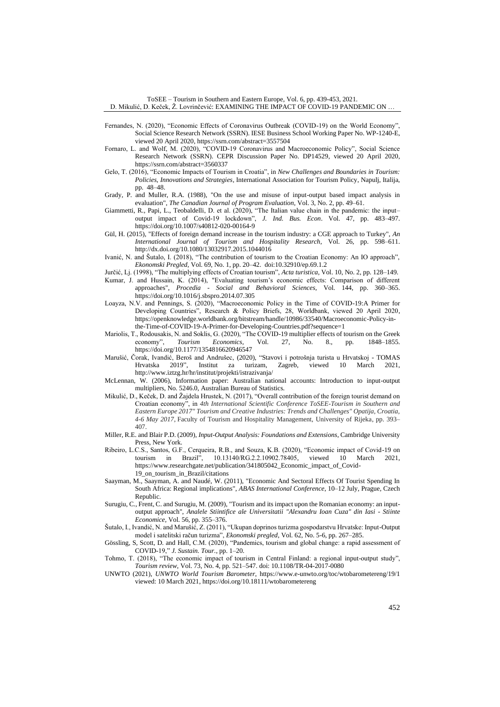ToSEE – Tourism in Southern and Eastern Europe, Vol. 6, pp. 439-453, 2021. D. Mikulić, D. Keček, Ž. Lovrinčević: EXAMINING THE IMPACT OF COVID-19 PANDEMIC ON …

- Fernandes, N. (2020), "Economic Effects of Coronavirus Outbreak (COVID-19) on the World Economy", Social Science Research Network (SSRN). IESE Business School Working Paper No. WP-1240-E, viewed 20 April 2020, https://ssrn.com/abstract=3557504
- Fornaro, L. and Wolf, M. (2020), "COVID-19 Coronavirus and Macroeconomic Policy", Social Science Research Network (SSRN). CEPR Discussion Paper No. DP14529, viewed 20 April 2020, https://ssrn.com/abstract=3560337
- Gelo, T. (2016), "Economic Impacts of Tourism in Croatia", in *New Challenges and Boundaries in Tourism: Policies, Innovations and Strategies,* International Association for Tourism Policy, Napulj, Italija, pp. 48–48.
- Grady, P. and Muller, R.A. (1988), "On the use and misuse of input-output based impact analysis in evaluation", *The Canadian Journal of Program Evaluation*, Vol. 3, No. 2, pp. 49–61.
- Giammetti, R., Papi, L., Teobaldelli, D. et al. (2020), "The Italian value chain in the pandemic: the input– output impact of Covid-19 lockdown", *J. Ind. Bus. Econ*. Vol. 47, pp. 483–497. <https://doi.org/10.1007/s40812-020-00164-9>
- Gül, H. (2015), "Effects of foreign demand increase in the tourism industry: a CGE approach to Turkey", *An International Journal of Tourism and Hospitality Research*, Vol. 26, pp. 598–611. <http://dx.doi.org/10.1080/13032917.2015.1044016>
- Ivanić, N. and Šutalo, I. (2018), "The contribution of tourism to the Croatian Economy: An IO approach", *Ekonomski Pregled*, Vol. 69, No. 1, pp. 20–42. doi:10.32910/ep.69.1.2
- Jurčić, Lj. (1998), "The multiplying effects of Croatian tourism", *Acta turistica*, Vol. 10, No. 2, pp. 128–149.
- Kumar, J. and Hussain, K. (2014), "Evaluating tourism's economic effects: Comparison of different approaches", *Procedia - Social and Behavioral Sciences*, Vol. 144, pp. 360–365. <https://doi.org/10.1016/j.sbspro.2014.07.305>
- Loayza, N.V. and Pennings, S. (2020), "Macroeconomic Policy in the Time of COVID-19:A Primer for Developing Countries", Research & Policy Briefs, 28, Worldbank, viewed 20 April 2020, [https://openknowledge.worldbank.org/bitstream/handle/10986/33540/Macroeconomic-Policy-in](https://openknowledge.worldbank.org/bitstream/handle/10986/33540/Macroeconomic-Policy-in-the-Time-of-COVID-19-A-Primer-for-Developing-Countries.pdf?sequence=1)[the-Time-of-COVID-19-A-Primer-for-Developing-Countries.pdf?sequence=1](https://openknowledge.worldbank.org/bitstream/handle/10986/33540/Macroeconomic-Policy-in-the-Time-of-COVID-19-A-Primer-for-Developing-Countries.pdf?sequence=1)
- Mariolis, T., Rodousakis, N. and Soklis, G. (2020), "The COVID-19 multiplier effects of tourism on the Greek economy", *Tourism Economics,* Vol. 27, No. 8., pp*.* 1848–1855. <https://doi.org/10.1177/1354816620946547>
- Marušić, Čorak, Ivandić, Beroš and Andrušec, (2020), "Stavovi i potrošnja turista u Hrvatskoj TOMAS Hrvatska 2019", Institut za turizam, Zagreb, viewed 10 March 2021, <http://www.iztzg.hr/hr/institut/projekti/istrazivanja/>
- McLennan, W. (2006), Information paper: Australian national accounts: Introduction to input-output multipliers, No. 5246.0, Australian Bureau of Statistics.
- Mikulić, D., Keček, D. and Žajdela Hrustek, N. (2017), "Overall contribution of the foreign tourist demand on Croatian economy", in *4th International Scientific Conference ToSEE-Tourism in Southern and Eastern Europe 2017" Tourism and Creative Industries: Trends and Challenges" Opatija, Croatia, 4-6 May 2017*, Faculty of Tourism and Hospitality Management, University of Rijeka, pp. 393– 407.
- Miller, R.E. and Blair P.D. (2009), *Input-Output Analysis: Foundations and Extensions*, Cambridge University Press, New York.
- Ribeiro, L.C.S., Santos, G.F., Cerqueira, R.B., and Souza, K.B. (2020), "Economic impact of Covid-19 on tourism in Brazil", 10.13140/RG.2.2.10902.78405, viewed 10 March 2021, [https://www.researchgate.net/publication/341805042\\_Economic\\_impact\\_of\\_Covid-](https://www.researchgate.net/publication/341805042_Economic_impact_of_Covid-19_on_tourism_in_Brazil/citations)[19\\_on\\_tourism\\_in\\_Brazil/citations](https://www.researchgate.net/publication/341805042_Economic_impact_of_Covid-19_on_tourism_in_Brazil/citations)
- Saayman, M., Saayman, A. and Naudé, W. (2011), "Economic And Sectoral Effects Of Tourist Spending In South Africa: Regional implications", *ABAS International Conference*, 10–12 July, Prague, Czech Republic.
- Surugiu, C., Frent, C. and Surugiu, M. (2009), "Tourism and its impact upon the Romanian economy: an inputoutput approach", *Analele Stiintifice ale Universitatii "Alexandru Ioan Cuza" din Iasi - Stiinte Economice*, Vol. 56, pp. 355–376.
- Šutalo, I., Ivandić, N. and Marušić, Z. (2011), "Ukupan doprinos turizma gospodarstvu Hrvatske: Input-Output model i satelitski račun turizma", *Ekonomski pregled*, Vol. 62, No. 5-6, pp. 267–285.
- Gössling, S, Scott, D. and Hall, C.M. (2020), "Pandemics, tourism and global change: a rapid assessment of COVID-19," *J. Sustain. Tour.*, pp. 1–20.
- Tohmo, T. (2018), "The economic impact of tourism in Central Finland: a regional input-output study", *Tourism review*, Vol. 73, No. 4, pp. 521–547. doi: 10.1108/TR-04-2017-0080
- UNWTO (2021), *UNWTO World Tourism Barometer*,<https://www.e-unwto.org/toc/wtobarometereng/19/1> viewed: 10 March 2021, <https://doi.org/10.18111/wtobarometereng>